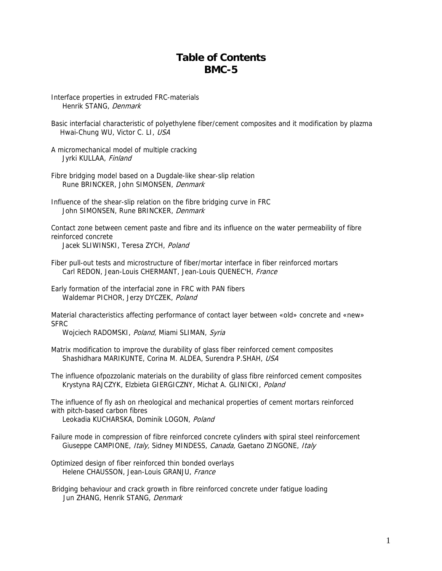## **Table of Contents BMC-5**

Interface properties in extruded FRC-materials Henrik STANG, Denmark

Basic interfacial characteristic of polyethylene fiber/cement composites and it modification by plazma Hwai-Chung WU, Victor C. LI, USA

A micromechanical model of multiple cracking Jyrki KULLAA, Finland

Fibre bridging model based on a Dugdale-like shear-slip relation Rune BRINCKER, John SIMONSEN, Denmark

Influence of the shear-slip relation on the fibre bridging curve in FRC John SIMONSEN, Rune BRINCKER, Denmark

Contact zone between cement paste and fibre and its influence on the water permeability of fibre reinforced concrete

Jacek SLIWINSKI, Teresa ZYCH, Poland

Fiber pull-out tests and microstructure of fiber/mortar interface in fiber reinforced mortars Carl REDON, Jean-Louis CHERMANT, Jean-Louis QUENEC'H, France

Early formation of the interfacial zone in FRC with PAN fibers Waldemar PICHOR, Jerzy DYCZEK, Poland

Material characteristics affecting performance of contact layer between «old» concrete and «new» **SFRC** 

Wojciech RADOMSKI, Poland, Miami SLIMAN, Syria

Matrix modification to improve the durability of glass fiber reinforced cement composites Shashidhara MARIKUNTE, Corina M. ALDEA, Surendra P.SHAH, USA

The influence ofpozzolanic materials on the durability of glass fibre reinforced cement composites Krystyna RAJCZYK, Elzbieta GIERGICZNY, Michat A. GLINICKI, Poland

The influence of fly ash on rheological and mechanical properties of cement mortars reinforced with pitch-based carbon fibres

Leokadia KUCHARSKA, Dominik LOGON, Poland

Failure mode in compression of fibre reinforced concrete cylinders with spiral steel reinforcement Giuseppe CAMPIONE, Italy, Sidney MINDESS, Canada, Gaetano ZINGONE, Italy

Optimized design of fiber reinforced thin bonded overlays Helene CHAUSSON, Jean-Louis GRANJU, France

Bridging behaviour and crack growth in fibre reinforced concrete under fatigue loading Jun ZHANG, Henrik STANG, Denmark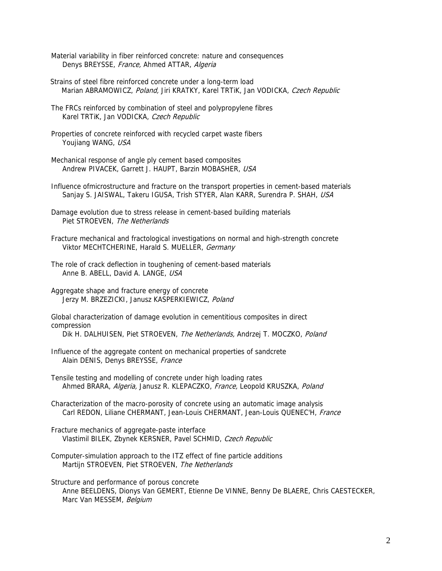Material variability in fiber reinforced concrete: nature and consequences Denys BREYSSE, France, Ahmed ATTAR, Algeria

Strains of steel fibre reinforced concrete under a long-term load Marian ABRAMOWICZ, Poland, Jiri KRATKY, Karel TRTiK, Jan VODICKA, Czech Republic

The FRCs reinforced by combination of steel and polypropylene fibres Karel TRTiK, Jan VODICKA, Czech Republic

Properties of concrete reinforced with recycled carpet waste fibers Youjiang WANG, USA

Mechanical response of angle ply cement based composites Andrew PIVACEK, Garrett J. HAUPT, Barzin MOBASHER, USA

Influence ofmicrostructure and fracture on the transport properties in cement-based materials Sanjay S. JAISWAL, Takeru IGUSA, Trish STYER, Alan KARR, Surendra P. SHAH, USA

Damage evolution due to stress release in cement-based building materials Piet STROEVEN, The Netherlands

Fracture mechanical and fractological investigations on normal and high-strength concrete Viktor MECHTCHERINE, Harald S. MUELLER, Germany

The role of crack deflection in toughening of cement-based materials Anne B. ABELL, David A. LANGE, USA

Aggregate shape and fracture energy of concrete Jerzy M. BRZEZICKI, Janusz KASPERKIEWICZ, Poland

Global characterization of damage evolution in cementitious composites in direct compression Dik H. DALHUISEN, Piet STROEVEN, The Netherlands, Andrzej T. MOCZKO, Poland

Influence of the aggregate content on mechanical properties of sandcrete Alain DENIS, Denys BREYSSE, France

Tensile testing and modelling of concrete under high loading rates Ahmed BRARA, Algeria, Janusz R. KLEPACZKO, France, Leopold KRUSZKA, Poland

Characterization of the macro-porosity of concrete using an automatic image analysis Carl REDON, Liliane CHERMANT, Jean-Louis CHERMANT, Jean-Louis QUENEC'H, France

Fracture mechanics of aggregate-paste interface Vlastimil BILEK, Zbynek KERSNER, Pavel SCHMID, Czech Republic

Computer-simulation approach to the ITZ effect of fine particle additions Martijn STROEVEN, Piet STROEVEN, The Netherlands

Structure and performance of porous concrete Anne BEELDENS, Dionys Van GEMERT, Etienne De VINNE, Benny De BLAERE, Chris CAESTECKER, Marc Van MESSEM, Belgium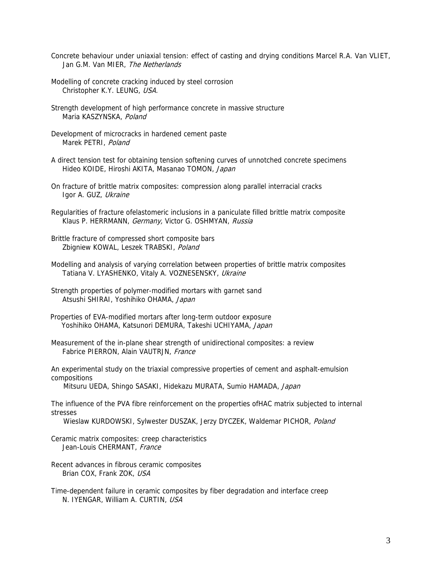- Concrete behaviour under uniaxial tension: effect of casting and drying conditions Marcel R.A. Van VLIET, Jan G.M. Van MIER, The Netherlands
- Modelling of concrete cracking induced by steel corrosion Christopher K.Y. LEUNG, USA.
- Strength development of high performance concrete in massive structure Maria KASZYNSKA, Poland
- Development of microcracks in hardened cement paste Marek PETRI, Poland
- A direct tension test for obtaining tension softening curves of unnotched concrete specimens Hideo KOIDE, Hiroshi AKITA, Masanao TOMON, Japan
- On fracture of brittle matrix composites: compression along parallel interracial cracks Igor A. GUZ, Ukraine
- Klaus P. HERRMANN, *Germany,* Victor G. OSHMYAN, Russia Regularities of fracture ofelastomeric inclusions in a paniculate filled brittle matrix composite
- Brittle fracture of compressed short composite bars Zbigniew KOWAL, Leszek TRABSKI, Poland
- Modelling and analysis of varying correlation between properties of brittle matrix composites Tatiana V. LYASHENKO, Vitaly A. VOZNESENSKY, Ukraine
- Strength properties of polymer-modified mortars with garnet sand Atsushi SHIRAI, Yoshihiko OHAMA, Japan
- Properties of EVA-modified mortars after long-term outdoor exposure Yoshihiko OHAMA, Katsunori DEMURA, Takeshi UCHIYAMA, Japan
- Measurement of the in-plane shear strength of unidirectional composites: a review Fabrice PIERRON, Alain VAUTRJN, France
- An experimental study on the triaxial compressive properties of cement and asphalt-emulsion compositions

Mitsuru UEDA, Shingo SASAKI, Hidekazu MURATA, Sumio HAMADA, Japan

The influence of the PVA fibre reinforcement on the properties ofHAC matrix subjected to internal stresses

Wieslaw KURDOWSKI, Sylwester DUSZAK, Jerzy DYCZEK, Waldemar PICHOR, Poland

- Ceramic matrix composites: creep characteristics Jean-Louis CHERMANT, France
- Recent advances in fibrous ceramic composites Brian COX, Frank ZOK, USA
- Time-dependent failure in ceramic composites by fiber degradation and interface creep N. IYENGAR, William A. CURTIN, USA